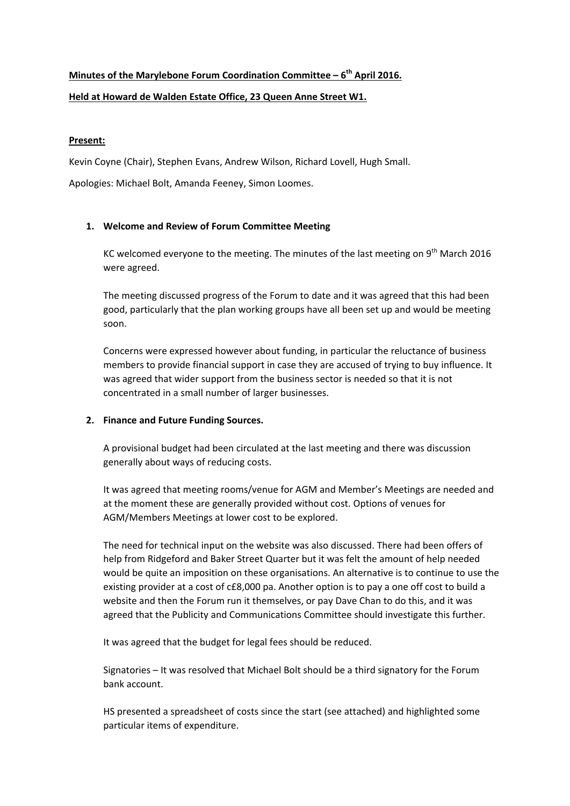# **Minutes of the Marylebone Forum Coordination Committee – 6th April 2016. Held at Howard de Walden Estate Office, 23 Queen Anne Street W1.**

## **Present:**

Kevin Coyne (Chair), Stephen Evans, Andrew Wilson, Richard Lovell, Hugh Small.

Apologies: Michael Bolt, Amanda Feeney, Simon Loomes.

## **1. Welcome and Review of Forum Committee Meeting**

KC welcomed everyone to the meeting. The minutes of the last meeting on  $9<sup>th</sup>$  March 2016 were agreed.

The meeting discussed progress of the Forum to date and it was agreed that this had been good, particularly that the plan working groups have all been set up and would be meeting soon.

Concerns were expressed however about funding, in particular the reluctance of business members to provide financial support in case they are accused of trying to buy influence. It was agreed that wider support from the business sector is needed so that it is not concentrated in a small number of larger businesses.

## **2. Finance and Future Funding Sources.**

A provisional budget had been circulated at the last meeting and there was discussion generally about ways of reducing costs.

It was agreed that meeting rooms/venue for AGM and Member's Meetings are needed and at the moment these are generally provided without cost. Options of venues for AGM/Members Meetings at lower cost to be explored.

The need for technical input on the website was also discussed. There had been offers of help from Ridgeford and Baker Street Quarter but it was felt the amount of help needed would be quite an imposition on these organisations. An alternative is to continue to use the existing provider at a cost of c£8,000 pa. Another option is to pay a one off cost to build a website and then the Forum run it themselves, or pay Dave Chan to do this, and it was agreed that the Publicity and Communications Committee should investigate this further.

It was agreed that the budget for legal fees should be reduced.

Signatories – It was resolved that Michael Bolt should be a third signatory for the Forum bank account.

HS presented a spreadsheet of costs since the start (see attached) and highlighted some particular items of expenditure.